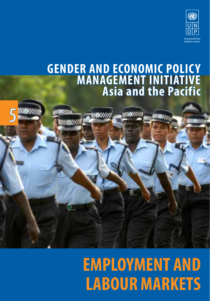

## **GENDER AND ECONOMIC POLICY MANAGEMENT INITIATIVE Asia and the Pacific**

5

# **EMPLOYMENT AND LABOUR MARKETS**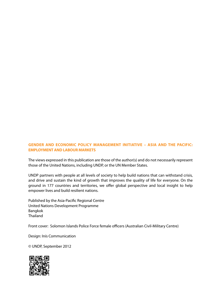#### **GENDER AND ECONOMIC POLICY MANAGEMENT INITIATIVE – ASIA AND THE PACIFIC: EMPLOYMENT AND LABOUR MARKETS**

The views expressed in this publication are those of the author(s) and do not necessarily represent those of the United Nations, including UNDP, or the UN Member States.

UNDP partners with people at all levels of society to help build nations that can withstand crisis, and drive and sustain the kind of growth that improves the quality of life for everyone. On the ground in 177 countries and territories, we offer global perspective and local insight to help empower lives and build resilient nations.

Published by the Asia-Pacific Regional Centre United Nations Development Programme Bangkok Thailand

Front cover: Solomon Islands Police Force female officers (Australian Civil-Military Centre)

Design: Inís Communication

© UNDP, September 2012

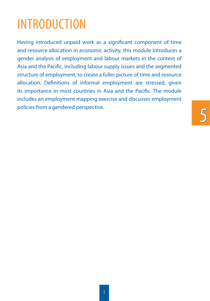# **INTRODUCTION**

Having introduced unpaid work as a significant component of time and resource allocation in economic activity, this module introduces a gender analysis of employment and labour markets in the context of Asia and the Pacific, including labour supply issues and the segmented structure of employment, to create a fuller picture of time and resource allocation. Definitions of informal employment are stressed, given its importance in most countries in Asia and the Pacific. The module includes an employment mapping exercise and discusses employment policies from a gendered perspective.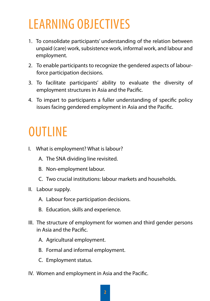# Learning Objectives

- 1. To consolidate participants' understanding of the relation between unpaid (care) work, subsistence work, informal work, and labour and employment.
- 2. To enable participants to recognize the gendered aspects of labourforce participation decisions.
- 3. To facilitate participants' ability to evaluate the diversity of employment structures in Asia and the Pacific.
- 4. To impart to participants a fuller understanding of specific policy issues facing gendered employment in Asia and the Pacific.

# **OUTLINE**

- I. What is employment? What is labour?
	- A. The SNA dividing line revisited.
	- B. Non-employment labour.
	- C. Two crucial institutions: labour markets and households.
- II. Labour supply.
	- A. Labour force participation decisions.
	- B. Education, skills and experience.
- III. The structure of employment for women and third gender persons in Asia and the Pacific.
	- A. Agricultural employment.
	- B. Formal and informal employment.
	- C. Employment status.
- IV. Women and employment in Asia and the Pacific.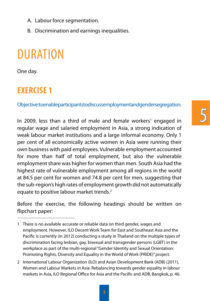- A. Labour force segmentation.
- B. Discrimination and earnings inequalities.

## **DURATION**

One day.

#### **EXERCISE 1**

Objective: to enable participants to discussemployment and gender segregation.

In 2009, less than a third of male and female workers<sup>1</sup> engaged in regular wage and salaried employment in Asia, a strong indication of weak labour market institutions and a large informal economy. Only 1 per cent of all economically active women in Asia were running their own business with paid employees. Vulnerable employment accounted for more than half of total employment, but also the vulnerable employment share was higher for women than men. South Asia had the highest rate of vulnerable employment among all regions in the world at 84.5 per cent for women and 74.8 per cent for men, suggesting that the sub-region's high rates of employment growth did not automatically equate to positive labour market trends.<sup>2</sup>

Before the exercise, the following headings should be written on flipchart paper:

<sup>1</sup> There is no available accurate or reliable data on third gender, wages and employment. However, ILO Decent Work Team for East and Southeast Asia and the Pacific is currently (in 2012) conducting a study in Thailand on the multiple types of discrimination facing lesbian, gay, bisexual and transgender persons (LGBT) in the workplace as part of the multi-regional "Gender Identity and Sexual Orientation: Promoting Rights, Diversity and Equality in the World of Work (PRIDE)" project.

<sup>2</sup> International Labour Organization (ILO) and Asian Development Bank (ADB) (2011), Women and Labour Markets in Asia: Rebalancing towards gender equality in labour markets in Asia, ILO Regional Office for Asia and the Pacific and ADB, Bangkok, p. 46.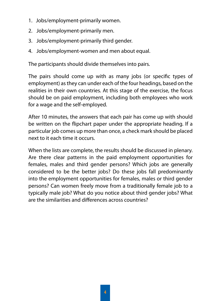- 1. Jobs/employment-primarily women.
- 2. Jobs/employment-primarily men.
- 3. Jobs/employment-primarily third gender.
- 4. Jobs/employment-women and men about equal.

The participants should divide themselves into pairs.

The pairs should come up with as many jobs (or specific types of employment) as they can under each of the four headings, based on the realities in their own countries. At this stage of the exercise, the focus should be on paid employment, including both employees who work for a wage and the self-employed.

After 10 minutes, the answers that each pair has come up with should be written on the flipchart paper under the appropriate heading. If a particular job comes up more than once, a check mark should be placed next to it each time it occurs.

When the lists are complete, the results should be discussed in plenary. Are there clear patterns in the paid employment opportunities for females, males and third gender persons? Which jobs are generally considered to be the better jobs? Do these jobs fall predominantly into the employment opportunities for females, males or third gender persons? Can women freely move from a traditionally female job to a typically male job? What do you notice about third gender jobs? What are the similarities and differences across countries?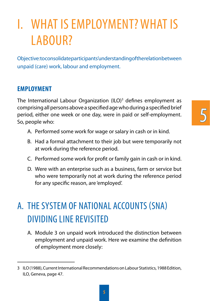# I. WHAT ISEMPLOYMENT? WHAT IS LABOUR?

Objective: to consolidate participants' understanding of the relation between unpaid (care) work, labour and employment.

#### **EMPLOYMENT**

The International Labour Organization  $(ILO)^3$  defines employment as comprising all persons above a specified age who during a specified brief period, either one week or one day, were in paid or self-employment. So, people who:

- A. Performed some work for wage or salary in cash or in kind.
- B. Had a formal attachment to their job but were temporarily not at work during the reference period.
- C. Performed some work for profit or family gain in cash or in kind.
- D. Were with an enterprise such as a business, farm or service but who were temporarily not at work during the reference period for any specific reason, are 'employed'.

### A. The System of National Accounts (SNA) Dividing Line Revisited

A. Module 3 on unpaid work introduced the distinction between employment and unpaid work. Here we examine the definition of employment more closely:

<sup>3</sup> ILO (1988), Current International Recommendations on Labour Statistics, 1988 Edition, ILO, Geneva, page 47.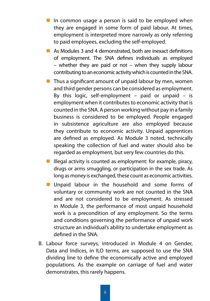- In common usage a person is said to be employed when they are engaged in some form of paid labour. At times, employment is interpreted more narrowly as only referring to paid employees, excluding the self-employed.
- As Modules 3 and 4 demonstrated, both are inexact definitions of employment. The SNA defines individuals as employed – whether they are paid or not – when they supply labour contributing to an economic activity which is counted in the SNA.
- $\blacksquare$  Thus a significant amount of unpaid labour by men, women and third gender persons can be considered as employment. By this logic, self-employment  $-$  paid or unpaid  $-$  is employment when it contributes to economic activity that is counted in the SNA. A person working without pay in a family business is considered to be employed. People engaged in subsistence agriculture are also employed because they contribute to economic activity. Unpaid apprentices are defined as employed. As Module 3 noted, technically speaking the collection of fuel and water should also be regarded as employment, but very few countries do this.
- **Illegal activity is counted as employment: for example, piracy,** drugs or arms smuggling, or participation in the sex trade. As long as money is exchanged, these count as economic activities.
- **Unpaid labour in the household and some forms of** voluntary or community work are not counted in the SNA and are not considered to be employment. As stressed in Module 3, the performance of most unpaid household work is a precondition of any employment. So the terms and conditions governing the performance of unpaid work structure an individual's ability to undertake employment as defined in the SNA.
- B. Labour force surveys, introduced in Module 4 on Gender, Data and Indices, in ILO terms, are supposed to use the SNA dividing line to define the economically active and employed populations. As the example on carriage of fuel and water demonstrates, this rarely happens.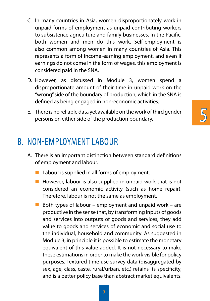- C. In many countries in Asia, women disproportionately work in unpaid forms of employment as unpaid contributing workers to subsistence agriculture and family businesses. In the Pacific, both women and men do this work. Self-employment is also common among women in many countries of Asia. This represents a form of income-earning employment, and even if earnings do not come in the form of wages, this employment is considered paid in the SNA.
- D. However, as discussed in Module 3, women spend a disproportionate amount of their time in unpaid work on the "wrong" side of the boundary of production, which in the SNA is defined as being engaged in non-economic activities.
- E. There is no reliable data yet available on the work of third gender persons on either side of the production boundary.

5

### B. Non-Employment Labour

- A. There is an important distinction between standard definitions of employment and labour.
	- $\blacksquare$  Labour is supplied in all forms of employment.
	- $\blacksquare$  However, labour is also supplied in unpaid work that is not considered an economic activity (such as home repair). Therefore, labour is not the same as employment.
	- Both types of labour employment and unpaid work are productive in the sense that, by transforming inputs of goods and services into outputs of goods and services, they add value to goods and services of economic and social use to the individual, household and community. As suggested in Module 3, in principle it is possible to estimate the monetary equivalent of this value added. It is not necessary to make these estimations in order to make the work visible for policy purposes. Textured time use survey data (disaggregated by sex, age, class, caste, rural/urban, etc.) retains its specificity, and is a better policy base than abstract market equivalents.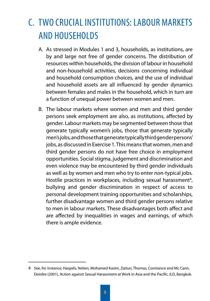## C. Two Crucial Institutions: Labour Markets and Households

- A. As stressed in Modules 1 and 3, households, as institutions, are by and large not free of gender concerns. The distribution of resources within households, the division of labour in household and non-household activities, decisions concerning individual and household consumption choices, and the use of individual and household assets are all influenced by gender dynamics between females and males in the household, which in turn are a function of unequal power between women and men.
- B. The labour markets where women and men and third gender persons seek employment are also, as institutions, affected by gender. Labour markets may be segmented between those that generate typically women's jobs, those that generate typically men's jobs, and those that generate typically third gender persons' jobs, as discussed in Exercise 1. This means that women, men and third gender persons do not have free choice in employment opportunities. Social stigma, judgement and discrimination and even violence may be encountered by third gender individuals as well as by women and men who try to enter non-typical jobs. Hostile practices in workplaces, including sexual harassment<sup>4</sup>, bullying and gender discrimination in respect of access to personal development training opportunities and scholarships, further disadvantage women and third gender persons relative to men in labour markets. These disadvantages both affect and are affected by inequalities in wages and earnings, of which there is ample evidence.

<sup>4</sup> See, for instance, Haspels, Nelien, Mohamed Kasim, Zaitun, Thomas, Constance and Mc Cann, Deirdre (2001), Action against Sexual Harassment at Work in Asia and the Pacific, ILO, Bangkok.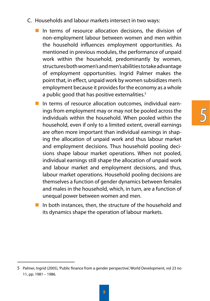- C. Households and labour markets intersect in two ways:
	- In terms of resource allocation decisions, the division of non-employment labour between women and men within the household influences employment opportunities. As mentioned in previous modules, the performance of unpaid work within the household, predominantly by women, structures both women's and men's abilities to take advantage of employment opportunities. Ingrid Palmer makes the point that, in effect, unpaid work by women subsidizes men's employment because it provides for the economy as a whole a public good that has positive externalities.<sup>5</sup>
	- In terms of resource allocation outcomes, individual earnings from employment may or may not be pooled across the individuals within the household. When pooled within the household, even if only to a limited extent, overall earnings are often more important than individual earnings in shaping the allocation of unpaid work and thus labour market and employment decisions. Thus household pooling decisions shape labour market operations. When not pooled, individual earnings still shape the allocation of unpaid work and labour market and employment decisions, and thus, labour market operations. Household pooling decisions are themselves a function of gender dynamics between females and males in the household, which, in turn, are a function of unequal power between women and men.

5

In both instances, then, the structure of the household and its dynamics shape the operation of labour markets.

<sup>5</sup> Palmer, Ingrid (2005), 'Public finance from a gender perspective', World Development, vol 23 no 11, pp. 1981 – 1986.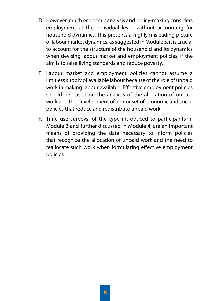- D. However, much economic analysis and policy-making considers employment at the individual level, without accounting for household dynamics. This presents a highly misleading picture of labour market dynamics; as suggested in Module 3, it is crucial to account for the structure of the household and its dynamics when devising labour market and employment policies, if the aim is to raise living standards and reduce poverty.
- E. Labour market and employment policies cannot assume a limitless supply of available labour because of the role of unpaid work in making labour available. Effective employment policies should be based on the analysis of the allocation of unpaid work and the development of a prior set of economic and social policies that reduce and redistribute unpaid work.
- F. Time use surveys, of the type introduced to participants in Module 3 and further discussed in Module 4, are an important means of providing the data necessary to inform policies that recognize the allocation of unpaid work and the need to reallocate such work when formulating effective employment policies.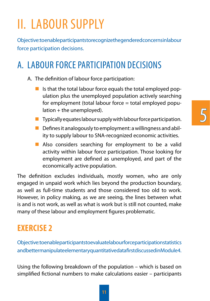# II. LABOUR SUPPLY

Objective: to enable participants to recognize the gendered concerns in labour force participation decisions.

### A. Labour Force Participation Decisions

A. The definition of labour force participation:

- Is that the total labour force equals the total employed population plus the unemployed population actively searching for employment (total labour force = total employed popu $lational + the unemployed.$
- $\blacksquare$  Typically equates labour supply with labour force participation.
- $\blacksquare$  Defines it analogously to employment: a willingness and ability to supply labour to SNA-recognized economic activities.
- Also considers searching for employment to be a valid activity within labour force participation. Those looking for employment are defined as unemployed, and part of the economically active population.

The definition excludes individuals, mostly women, who are only engaged in unpaid work which lies beyond the production boundary, as well as full-time students and those considered too old to work. However, in policy making, as we are seeing, the lines between what is and is not work, as well as what is work but is still not counted, make many of these labour and employment figures problematic.

### **EXERCISE 2**

Objective: to enable participants to evaluate labour force participation statistics and better manipulate elementary quantitative data first discussed in Module 4.

Using the following breakdown of the population – which is based on simplified fictional numbers to make calculations easier – participants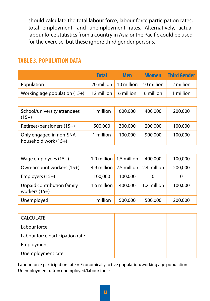should calculate the total labour force, labour force participation rates, total employment, and unemployment rates. Alternatively, actual labour force statistics from a country in Asia or the Pacific could be used for the exercise, but these ignore third gender persons.

#### **Table 3. Population Data**

|                                                                     | <b>Total</b> | Men | <b>Women</b> | <b>Third Gender</b>                                          |
|---------------------------------------------------------------------|--------------|-----|--------------|--------------------------------------------------------------|
| Population                                                          |              |     |              | $\frac{1}{20}$ million   10 million   10 million   2 million |
| Working age population $(15+)$   12 million   6 million   6 million |              |     |              | 1 million                                                    |

| School/university attendees<br>$(15+)$          | 1 million | 600,000 | 400,000 | 200,000 |
|-------------------------------------------------|-----------|---------|---------|---------|
| Retirees/pensioners (15+)                       | 500,000   | 300,000 | 200,000 | 100,000 |
| Only engaged in non-SNA<br>household work (15+) | 1 million | 100,000 | 900,000 | 100,000 |

| Wage employees (15+)                          |             | 1.9 million 1.5 million | 400,000     | 100,000 |
|-----------------------------------------------|-------------|-------------------------|-------------|---------|
| Own-account workers (15+)                     | 4.9 million | 2.5 million 2.4 million |             | 200,000 |
| Employers (15+)                               | 100,000     | 100,000                 | 0           | 0       |
| Unpaid contribution family<br>workers $(15+)$ | 1.6 million | 400,000                 | 1.2 million | 100,000 |
| Unemployed                                    | 1 million   | 500,000                 | 500,000     | 200,000 |

| <b>CALCULATE</b>                |  |  |
|---------------------------------|--|--|
| Labour force                    |  |  |
| Labour force participation rate |  |  |
| Employment                      |  |  |
| Unemployment rate               |  |  |

Labour force participation rate = Economically active population/working age population Unemployment rate = unemployed/labour force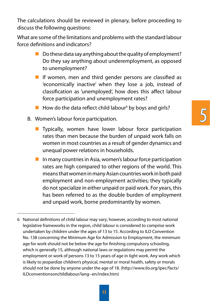The calculations should be reviewed in plenary, before proceeding to discuss the following questions:

What are some of the limitations and problems with the standard labour force definitions and indicators?

- $\blacksquare$  Do these data say anything about the quality of employment? Do they say anything about underemployment, as opposed to unemployment?
- If women, men and third gender persons are classified as 'economically inactive' when they lose a job, instead of classification as 'unemployed', how does this affect labour force participation and unemployment rates?
- $\blacksquare$  How do the data reflect child labour<sup>6</sup> by boys and girls?
- B. Women's labour force participation.
	- **T** Typically, women have lower labour force participation rates than men because the burden of unpaid work falls on women in most countries as a result of gender dynamics and unequal power relations in households.
	- In many countries in Asia, women's labour force participation rates are high compared to other regions of the world. This means that women in many Asian countries work in both paid employment and non-employment activities; they typically do not specialize in either unpaid or paid work. For years, this has been referred to as the double burden of employment and unpaid work, borne predominantly by women.

<sup>6</sup> National definitions of child labour may vary; however, according to most national legislative frameworks in the region, child labour is considered to comprise work undertaken by children under the ages of 13 to 15. According to ILO Convention No. 138 concerning the Minimum Age for Admission to Employment, the minimum age for work should not be below the age for finishing compulsory schooling, which is generally 15, although national laws or regulations may permit the employment or work of persons 13 to 15 years of age in light work. Any work which is likely to jeopardize children's physical, mental or moral health, safety or morals should not be done by anyone under the age of 18. (http://www.ilo.org/ipec/facts/ ILOconventionsonchildlabour/lang--en/index.htm)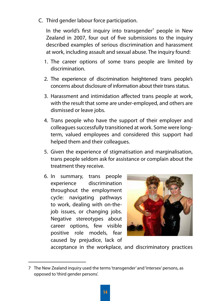C. Third gender labour force participation.

In the world's first inquiry into transgender<sup>7</sup> people in New Zealand in 2007, four out of five submissions to the inquiry described examples of serious discrimination and harassment at work, including assault and sexual abuse. The inquiry found:

- 1. The career options of some trans people are limited by discrimination.
- 2. The experience of discrimination heightened trans people's concerns about disclosure of information about their trans status.
- 3. Harassment and intimidation affected trans people at work, with the result that some are under-employed, and others are dismissed or leave jobs.
- 4. Trans people who have the support of their employer and colleagues successfully transitioned at work. Some were longterm, valued employees and considered this support had helped them and their colleagues.
- 5. Given the experience of stigmatisation and marginalisation, trans people seldom ask for assistance or complain about the treatment they receive.
- 6. In summary, trans people experience discrimination throughout the employment cycle: navigating pathways to work, dealing with on-thejob issues, or changing jobs. Negative stereotypes about career options, few visible positive role models, fear caused by prejudice, lack of



acceptance in the workplace, and discriminatory practices

<sup>7</sup> The New Zealand inquiry used the terms 'transgender' and 'intersex' persons, as opposed to 'third gender persons'.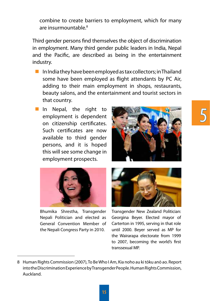5

combine to create barriers to employment, which for many are insurmountable.<sup>8</sup>

Third gender persons find themselves the object of discrimination in employment. Many third gender public leaders in India, Nepal and the Pacific, are described as being in the entertainment industry.

- In India they have been employed as tax collectors; in Thailand some have been employed as flight attendants by PC Air, adding to their main employment in shops, restaurants, beauty salons, and the entertainment and tourist sectors in that country.
- In Nepal, the right to employment is dependent on citizenship certificates. Such certificates are now available to third gender persons, and it is hoped this will see some change in employment prospects.





Bhumika Shrestha, Transgender Nepali Politician and elected as General Convention Member of the Nepali Congress Party in 2010.



Transgender New Zealand Politician: Georgina Beyer. Elected mayor of Carterton in 1995, serving in that role until 2000. Beyer served as MP for the Wairarapa electorate from 1999 to 2007, becoming the world's first transsexual MP.

<sup>8</sup> Human Rights Commission (2007), To Be Who I Am, Kia noho au ki tōku anō ao. Report into the Discrimination Experience by Transgender People. Human Rights Commission, Auckland.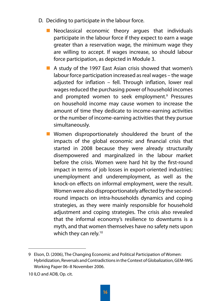- D. Deciding to participate in the labour force.
	- Neoclassical economic theory argues that individuals participate in the labour force if they expect to earn a wage greater than a reservation wage, the minimum wage they are willing to accept. If wages increase, so should labour force participation, as depicted in Module 3.
	- A study of the 1997 East Asian crisis showed that women's labour force participation increased as real wages – the wage adjusted for inflation – fell. Through inflation, lower real wages reduced the purchasing power of household incomes and prompted women to seek employment.<sup>9</sup> Pressures on household income may cause women to increase the amount of time they dedicate to income-earning activities or the number of income-earning activities that they pursue simultaneously.
	- **Nomen disproportionately shouldered the brunt of the** impacts of the global economic and financial crisis that started in 2008 because they were already structurally disempowered and marginalized in the labour market before the crisis. Women were hard hit by the first-round impact in terms of job losses in export-oriented industries; unemployment and underemployment, as well as the knock-on effects on informal employment, were the result. Women were also disproportionately affected by the secondround impacts on intra-households dynamics and coping strategies, as they were mainly responsible for household adjustment and coping strategies. The crisis also revealed that the informal economy's resilience to downturns is a myth, and that women themselves have no safety nets upon which they can rely.<sup>10</sup>

<sup>9</sup> Elson, D. (2006), The Changing Economic and Political Participation of Women: Hybridization, Reversals and Contradictions in the Context of Globalization, GEM-IWG Working Paper 06–8 November 2006.

<sup>10</sup> ILO and ADB, Op. cit.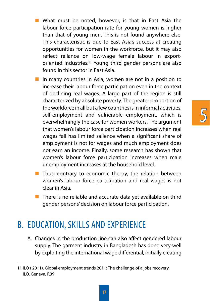- What must be noted, however, is that in East Asia the labour force participation rate for young women is higher than that of young men. This is not found anywhere else. This characteristic is due to East Asia's success at creating opportunities for women in the workforce, but it may also reflect reliance on low-wage female labour in exportoriented industries.11 Young third gender persons are also found in this sector in East Asia.
- In many countries in Asia, women are not in a position to increase their labour force participation even in the context of declining real wages. A large part of the region is still characterized by absolute poverty. The greater proportion of the workforce in all but a few countries is in informal activities, self-employment and vulnerable employment, which is overwhelmingly the case for women workers. The argument that women's labour force participation increases when real wages fall has limited salience when a significant share of employment is not for wages and much employment does not earn an income. Finally, some research has shown that women's labour force participation increases when male unemployment increases at the household level.
- Thus, contrary to economic theory, the relation between women's labour force participation and real wages is not clear in Asia.
- $\blacksquare$  There is no reliable and accurate data yet available on third gender persons' decision on labour force participation.

### B. Education, Skills and Experience

A. Changes in the production line can also affect gendered labour supply. The garment industry in Bangladesh has done very well by exploiting the international wage differential, initially creating

<sup>11</sup> ILO ( 2011), Global employment trends 2011: The challenge of a jobs recovery. ILO, Geneva, P.39.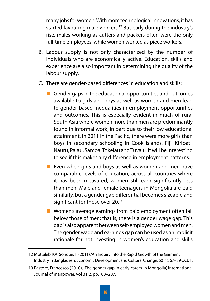many jobs for women. With more technological innovations, it has started favouring male workers.<sup>12</sup> But early during the industry's rise, males working as cutters and packers often were the only full-time employees, while women worked as piece workers.

- B. Labour supply is not only characterized by the number of individuals who are economically active. Education, skills and experience are also important in determining the quality of the labour supply.
- C. There are gender-based differences in education and skills:
	- Gender gaps in the educational opportunities and outcomes available to girls and boys as well as women and men lead to gender-based inequalities in employment opportunities and outcomes. This is especially evident in much of rural South Asia where women more than men are predominantly found in informal work, in part due to their low educational attainment. In 2011 in the Pacific, there were more girls than boys in secondary schooling in Cook Islands, Fiji, Kiribati, Nauru, Palau, Samoa, Tokelau and Tuvalu. It will be interesting to see if this makes any difference in employment patterns.
	- **Exen when girls and boys as well as women and men have** comparable levels of education, across all countries where it has been measured, women still earn significantly less than men. Male and female teenagers in Mongolia are paid similarly, but a gender gap differential becomes sizeable and significant for those over 20.<sup>13</sup>
	- **U** Women's average earnings from paid employment often fall below those of men; that is, there is a gender wage gap. This gap is also apparent between self-employed women and men. The gender wage and earnings gap can be used as an implicit rationale for not investing in women's education and skills

<sup>12</sup> Mottaleb, KA; Sonobe, T, (2011), 'An Inquiry into the Rapid Growth of the Garment Industry in Bangladesh', Economic Development and Cultural Change, 60 (1): 67–89 Oct. 1.

<sup>13</sup> Pastore, Francesco (2010), 'The gender gap in early career in Mongolia', International Journal of manpower, Vol 31:2, pp.188–207.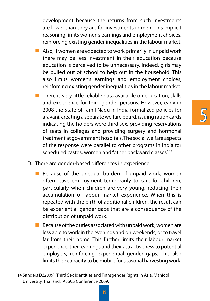development because the returns from such investments are lower than they are for investments in men. This implicit reasoning limits women's earnings and employment choices, reinforcing existing gender inequalities in the labour market.

- $\blacksquare$  Also, if women are expected to work primarily in unpaid work there may be less investment in their education because education is perceived to be unnecessary. Indeed, girls may be pulled out of school to help out in the household. This also limits women's earnings and employment choices, reinforcing existing gender inequalities in the labour market.
- $\blacksquare$  There is very little reliable data available on education, skills and experience for third gender persons. However, early in 2008 the State of Tamil Nadu in India formalized policies for aravani, creating a separate welfare board, issuing ration cards indicating the holders were third sex, providing reservations of seats in colleges and providing surgery and hormonal treatment at government hospitals. The social welfare aspects of the response were parallel to other programs in India for scheduled castes, women and "other backward classes".14

5

- D. There are gender-based differences in experience:
	- Because of the unequal burden of unpaid work, women often leave employment temporarily to care for children, particularly when children are very young, reducing their accumulation of labour market experience. When this is repeated with the birth of additional children, the result can be experiential gender gaps that are a consequence of the distribution of unpaid work.
	- $\blacksquare$  Because of the duties associated with unpaid work, women are less able to work in the evenings and on weekends, or to travel far from their home. This further limits their labour market experience, their earnings and their attractiveness to potential employers, reinforcing experiential gender gaps. This also limits their capacity to be mobile for seasonal harvesting work.

<sup>14</sup> Sanders D.(2009), Third Sex Identities and Transgender Rights in Asia. Mahidol University, Thailand, IASSCS Conference 2009.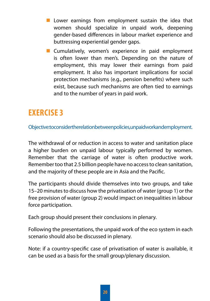- $\blacksquare$  Lower earnings from employment sustain the idea that women should specialize in unpaid work, deepening gender-based differences in labour market experience and buttressing experiential gender gaps.
- **Cumulatively, women's experience in paid employment** is often lower than men's. Depending on the nature of employment, this may lower their earnings from paid employment. It also has important implications for social protection mechanisms (e.g., pension benefits) where such exist, because such mechanisms are often tied to earnings and to the number of years in paid work.

#### **EXERCISE 3**

Objective: to consider the relation between policies, unpaid work and employment.

The withdrawal of or reduction in access to water and sanitation place a higher burden on unpaid labour typically performed by women. Remember that the carriage of water is often productive work. Remember too that 2.5 billion people have no access to clean sanitation, and the majority of these people are in Asia and the Pacific.

The participants should divide themselves into two groups, and take 15–20 minutes to discuss how the privatisation of water (group 1) or the free provision of water (group 2) would impact on inequalities in labour force participation.

Each group should present their conclusions in plenary.

Following the presentations, the unpaid work of the eco system in each scenario should also be discussed in plenary.

Note: if a country-specific case of privatisation of water is available, it can be used as a basis for the small group/plenary discussion.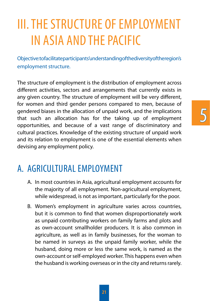# III. THE STRUCTURE OF EMPLOYMENT IN ASIA AND THE PACIFIC

Objective: to facilitate participants' understanding of the diversity of the region's employment structure.

The structure of employment is the distribution of employment across different activities, sectors and arrangements that currently exists in any given country. The structure of employment will be very different, for women and third gender persons compared to men, because of gendered biases in the allocation of unpaid work, and the implications that such an allocation has for the taking up of employment opportunities, and because of a vast range of discriminatory and cultural practices. Knowledge of the existing structure of unpaid work and its relation to employment is one of the essential elements when devising any employment policy.

### A. Agricultural Employment

- A. In most countries in Asia, agricultural employment accounts for the majority of all employment. Non-agricultural employment, while widespread, is not as important, particularly for the poor.
- B. Women's employment in agriculture varies across countries, but it is common to find that women disproportionately work as unpaid contributing workers on family farms and plots and as own-account smallholder producers. It is also common in agriculture, as well as in family businesses, for the woman to be named in surveys as the unpaid family worker, while the husband, doing more or less the same work, is named as the own-account or self-employed worker. This happens even when the husband is working overseas or in the city and returns rarely.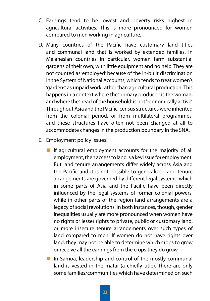- C. Earnings tend to be lowest and poverty risks highest in agricultural activities. This is more pronounced for women compared to men working in agriculture.
- D. Many countries of the Pacific have customary land titles and communal land that is worked by extended families. In Melanesian countries in particular, women farm substantial gardens of their own, with little equipment and no help. They are not counted as 'employed' because of the in-built discrimination in the System of National Accounts, which tends to treat women's 'gardens' as unpaid work rather than agricultural production. This happens in a context where the 'primary producer' is the woman, and where the 'head of the household' is not 'economically active'. Throughout Asia and the Pacific, census structures were inherited from the colonial period, or from multilateral programmes, and these structures have often not been changed at all to accommodate changes in the production boundary in the SNA.
- E. Employment policy issues:
	- If agricultural employment accounts for the majority of all employment, then access to land is a key issue for employment. But land tenure arrangements differ widely across Asia and the Pacific and it is not possible to generalize. Land tenure arrangements are governed by different legal systems, which in some parts of Asia and the Pacific have been directly influenced by the legal systems of former colonial powers, while in other parts of the region land arrangements are a legacy of social revolutions. In both instances, though, gender inequalities usually are more pronounced when women have no rights or lesser rights to private, public or customary land, or more insecure tenure arrangements over such types of land compared to men. If women do not have rights over land, they may not be able to determine which crops to grow or receive all the earnings from the crops they do grow.
	- $\blacksquare$  In Samoa, leadership and control of the mostly communal land is vested in the matai (a chiefly title). There are only some families/communities which have determined on such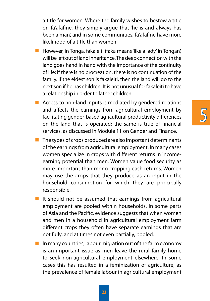a title for women. Where the family wishes to bestow a title on fa'afafine, they simply argue that 'he is and always has been a man', and in some communities, fa'afafine have more likelihood of a title than women.

- $\blacksquare$  However, in Tonga, fakaleiti (faka means 'like a lady' in Tongan) will be left out of land inheritance. The deep connection with the land goes hand in hand with the importance of the continuity of life: if there is no procreation, there is no continuation of the family. If the eldest son is fakaleiti, then the land will go to the next son if he has children. It is not unusual for fakaleiti to have a relationship in order to father children.
- $\blacksquare$  Access to non-land inputs is mediated by gendered relations and affects the earnings from agricultural employment by facilitating gender-based agricultural productivity differences on the land that is operated; the same is true of financial services, as discussed in Module 11 on Gender and Finance.
- $\blacksquare$  The types of crops produced are also important determinants of the earnings from agricultural employment. In many cases women specialize in crops with different returns in incomeearning potential than men. Women value food security as more important than mono cropping cash returns. Women may use the crops that they produce as an input in the household consumption for which they are principally responsible.
- It should not be assumed that earnings from agricultural employment are pooled within households. In some parts of Asia and the Pacific, evidence suggests that when women and men in a household in agricultural employment farm different crops they often have separate earnings that are not fully, and at times not even partially, pooled.
- $\blacksquare$  In many countries, labour migration out of the farm economy is an important issue as men leave the rural family home to seek non-agricultural employment elsewhere. In some cases this has resulted in a feminization of agriculture, as the prevalence of female labour in agricultural employment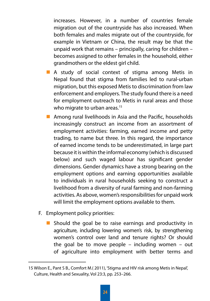increases. However, in a number of countries female migration out of the countryside has also increased. When both females and males migrate out of the countryside, for example in Vietnam or China, the result may be that the unpaid work that remains – principally, caring for children – becomes assigned to other females in the household, either grandmothers or the eldest girl child.

- A study of social context of stigma among Metis in Nepal found that stigma from families led to rural-urban migration, but this exposed Metis to discrimination from law enforcement and employers. The study found there is a need for employment outreach to Metis in rural areas and those who migrate to urban areas.<sup>15</sup>
- **Among rural livelihoods in Asia and the Pacific, households** increasingly construct an income from an assortment of employment activities: farming, earned income and petty trading, to name but three. In this regard, the importance of earned income tends to be underestimated, in large part because it is within the informal economy (which is discussed below) and such waged labour has significant gender dimensions. Gender dynamics have a strong bearing on the employment options and earning opportunities available to individuals in rural households seeking to construct a livelihood from a diversity of rural farming and non-farming activities. As above, women's responsibilities for unpaid work will limit the employment options available to them.
- F. Employment policy priorities:
	- Should the goal be to raise earnings and productivity in agriculture, including lowering women's risk, by strengthening women's control over land and tenure rights? Or should the goal be to move people – including women – out of agriculture into employment with better terms and

<sup>15</sup> Wilson E., Pant S B., Comfort M.( 2011), 'Stigma and HIV risk among Metis in Nepal', Culture, Health and Sexuality, Vol 23:3, pp. 253–266.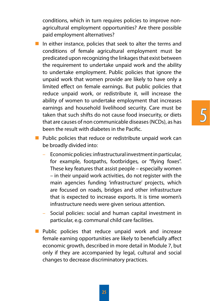5

conditions, which in turn requires policies to improve nonagricultural employment opportunities? Are there possible paid employment alternatives?

- In either instance, policies that seek to alter the terms and conditions of female agricultural employment must be predicated upon recognizing the linkages that exist between the requirement to undertake unpaid work and the ability to undertake employment. Public policies that ignore the unpaid work that women provide are likely to have only a limited effect on female earnings. But public policies that reduce unpaid work, or redistribute it, will increase the ability of women to undertake employment that increases earnings and household livelihood security. Care must be taken that such shifts do not cause food insecurity, or diets that are causes of non communicable diseases (NCDs), as has been the result with diabetes in the Pacific.
- $\blacksquare$  Public policies that reduce or redistribute unpaid work can be broadly divided into:
	- Economic policies: infrastructural investment in particular, for example, footpaths, footbridges, or "flying foxes". These key features that assist people – especially women – in their unpaid work activities, do not register with the main agencies funding 'infrastructure' projects, which are focused on roads, bridges and other infrastructure that is expected to increase exports. It is time women's infrastructure needs were given serious attention.
	- Social policies: social and human capital investment in particular, e.g. communal child care facilities.
- **Public policies that reduce unpaid work and increase** female earning opportunities are likely to beneficially affect economic growth, described in more detail in Module 7, but only if they are accompanied by legal, cultural and social changes to decrease discriminatory practices.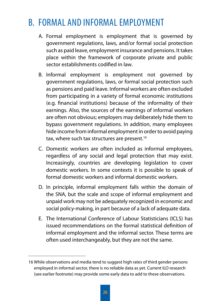### B. FORMAL AND INFORMAL FMPLOYMENT

- A. Formal employment is employment that is governed by government regulations, laws, and/or formal social protection such as paid leave, employment insurance and pensions. It takes place within the framework of corporate private and public sector establishments codified in law.
- B. Informal employment is employment not governed by government regulations, laws, or formal social protection such as pensions and paid leave. Informal workers are often excluded from participating in a variety of formal economic institutions (e.g. financial institutions) because of the informality of their earnings. Also, the sources of the earnings of informal workers are often not obvious; employers may deliberately hide them to bypass government regulations. In addition, many employees hide income from informal employment in order to avoid paying tax, where such tax structures are present.<sup>16</sup>
- C. Domestic workers are often included as informal employees, regardless of any social and legal protection that may exist. Increasingly, countries are developing legislation to cover domestic workers. In some contexts it is possible to speak of formal domestic workers and informal domestic workers.
- D. In principle, informal employment falls within the domain of the SNA, but the scale and scope of informal employment and unpaid work may not be adequately recognized in economic and social policy-making, in part because of a lack of adequate data.
- E. The International Conference of Labour Statisticians (ICLS) has issued recommendations on the formal statistical definition of informal employment and the informal sector. These terms are often used interchangeably, but they are not the same.

<sup>16</sup> While observations and media tend to suggest high rates of third gender persons employed in informal sector, there is no reliable data as yet. Current ILO research (see earlier footnote) may provide some early data to add to these observations.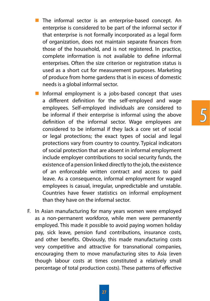- The informal sector is an enterprise-based concept. An enterprise is considered to be part of the informal sector if that enterprise is not formally incorporated as a legal form of organization, does not maintain separate finances from those of the household, and is not registered. In practice, complete information is not available to define informal enterprises. Often the size criterion or registration status is used as a short cut for measurement purposes. Marketing of produce from home gardens that is in excess of domestic needs is a global informal sector.
- Informal employment is a jobs-based concept that uses a different definition for the self-employed and wage employees. Self-employed individuals are considered to be informal if their enterprise is informal using the above definition of the informal sector. Wage employees are considered to be informal if they lack a core set of social or legal protections; the exact types of social and legal protections vary from country to country. Typical indicators of social protection that are absent in informal employment include employer contributions to social security funds, the existence of a pension linked directly to the job, the existence of an enforceable written contract and access to paid leave. As a consequence, informal employment for waged employees is casual, irregular, unpredictable and unstable. Countries have fewer statistics on informal employment than they have on the informal sector.

5

F. In Asian manufacturing for many years women were employed as a non-permanent workforce, while men were permanently employed. This made it possible to avoid paying women holiday pay, sick leave, pension fund contributions, insurance costs, and other benefits. Obviously, this made manufacturing costs very competitive and attractive for transnational companies, encouraging them to move manufacturing sites to Asia (even though labour costs at times constituted a relatively small percentage of total production costs). These patterns of effective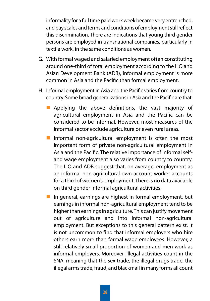informality for a full time paid work week became very entrenched, and pay scales and terms and conditions of employment still reflect this discrimination. There are indications that young third gender persons are employed in transnational companies, particularly in textile work, in the same conditions as women.

- G. With formal waged and salaried employment often constituting around one-third of total employment according to the ILO and Asian Development Bank (ADB), informal employment is more common in Asia and the Pacific than formal employment.
- H. Informal employment in Asia and the Pacific varies from country to country. Some broad generalizations in Asia and the Pacific are that:
	- **Applying the above definitions, the vast majority of** agricultural employment in Asia and the Pacific can be considered to be informal. However, most measures of the informal sector exclude agriculture or even rural areas.
	- Informal non-agricultural employment is often the most important form of private non-agricultural employment in Asia and the Pacific. The relative importance of informal selfand wage employment also varies from country to country. The ILO and ADB suggest that, on average, employment as an informal non-agricultural own-account worker accounts for a third of women's employment. There is no data available on third gender informal agricultural activities.
	- In general, earnings are highest in formal employment, but earnings in informal non-agricultural employment tend to be higher than earnings in agriculture. This can justify movement out of agriculture and into informal non-agricultural employment. But exceptions to this general pattern exist. It is not uncommon to find that informal employers who hire others earn more than formal wage employees. However, a still relatively small proportion of women and men work as informal employers. Moreover, illegal activities count in the SNA, meaning that the sex trade, the illegal drugs trade, the illegal arms trade, fraud, and blackmail in many forms all count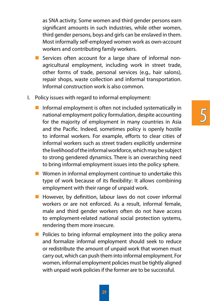as SNA activity. Some women and third gender persons earn significant amounts in such industries, while other women, third gender persons, boys and girls can be enslaved in them. Most informally self-employed women work as own-account workers and contributing family workers.

- Services often account for a large share of informal nonagricultural employment, including work in street trade, other forms of trade, personal services (e.g., hair salons), repair shops, waste collection and informal transportation. Informal construction work is also common.
- I. Policy issues with regard to informal employment:
	- Informal employment is often not included systematically in national employment policy formulation, despite accounting for the majority of employment in many countries in Asia and the Pacific. Indeed, sometimes policy is openly hostile to informal workers. For example, efforts to clear cities of informal workers such as street traders explicitly undermine the livelihood of the informal workforce, which may be subject to strong gendered dynamics. There is an overarching need to bring informal employment issues into the policy sphere.

5

- Women in informal employment continue to undertake this type of work because of its flexibility: It allows combining employment with their range of unpaid work.
- $\blacksquare$  However, by definition, labour laws do not cover informal workers or are not enforced. As a result, informal female, male and third gender workers often do not have access to employment-related national social protection systems, rendering them more insecure.
- $\blacksquare$  Policies to bring informal employment into the policy arena and formalize informal employment should seek to reduce or redistribute the amount of unpaid work that women must carry out, which can push them into informal employment. For women, informal employment policies must be tightly aligned with unpaid work policies if the former are to be successful.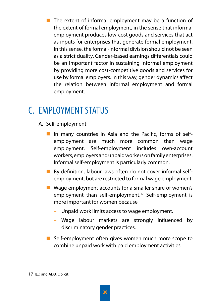$\blacksquare$  The extent of informal employment may be a function of the extent of formal employment, in the sense that informal employment produces low-cost goods and services that act as inputs for enterprises that generate formal employment. In this sense, the formal-informal division should not be seen as a strict duality. Gender-based earnings differentials could be an important factor in sustaining informal employment by providing more cost-competitive goods and services for use by formal employers. In this way, gender dynamics affect the relation between informal employment and formal employment.

### C. Employment Status

- A. Self-employment:
	- In many countries in Asia and the Pacific, forms of selfemployment are much more common than wage employment. Self-employment includes own-account workers, employers and unpaid workers on family enterprises. Informal self-employment is particularly common.
	- By definition, labour laws often do not cover informal selfemployment, but are restricted to formal wage employment.
	- Wage employment accounts for a smaller share of women's employment than self-employment.<sup>17</sup> Self-employment is more important for women because
		- Unpaid work limits access to wage employment.
		- Wage labour markets are strongly influenced by discriminatory gender practices.
	- Self-employment often gives women much more scope to combine unpaid work with paid employment activities.

<sup>17</sup> ILO and ADB, Op. cit.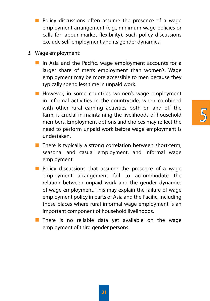- **Policy discussions often assume the presence of a wage** employment arrangement (e.g., minimum wage policies or calls for labour market flexibility). Such policy discussions exclude self-employment and its gender dynamics.
- B. Wage employment:
	- In Asia and the Pacific, wage employment accounts for a larger share of men's employment than women's. Wage employment may be more accessible to men because they typically spend less time in unpaid work.
	- **However, in some countries women's wage employment** in informal activities in the countryside, when combined with other rural earning activities both on and off the farm, is crucial in maintaining the livelihoods of household members. Employment options and choices may reflect the need to perform unpaid work before wage employment is undertaken.
	- $\blacksquare$  There is typically a strong correlation between short-term, seasonal and casual employment, and informal wage employment.
	- $\blacksquare$  Policy discussions that assume the presence of a wage employment arrangement fail to accommodate the relation between unpaid work and the gender dynamics of wage employment. This may explain the failure of wage employment policy in parts of Asia and the Pacific, including those places where rural informal wage employment is an important component of household livelihoods.
	- $\blacksquare$  There is no reliable data yet available on the wage employment of third gender persons.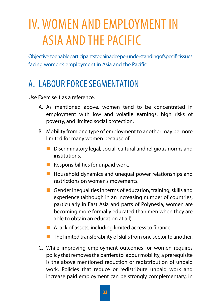# IV. WOMEN AND EMPLOYMENT IN ASIA AND THE PACIFIC

Objective: to enable participants to gain a deeper understanding of specific issues facing women's employment in Asia and the Pacific.

### A. Labour Force Segmentation

Use Exercise 1 as a reference.

- A. As mentioned above, women tend to be concentrated in employment with low and volatile earnings, high risks of poverty, and limited social protection.
- B. Mobility from one type of employment to another may be more limited for many women because of:
	- Discriminatory legal, social, cultural and religious norms and institutions.
	- Responsibilities for unpaid work.
	- $\blacksquare$  Household dynamics and unequal power relationships and restrictions on women's movements.
	- Gender inequalities in terms of education, training, skills and experience (although in an increasing number of countries, particularly in East Asia and parts of Polynesia, women are becoming more formally educated than men when they are able to obtain an education at all).
	- A lack of assets, including limited access to finance.
	- $\blacksquare$  The limited transferability of skills from one sector to another.
- C. While improving employment outcomes for women requires policy that removes the barriers to labour mobility, a prerequisite is the above mentioned reduction or redistribution of unpaid work. Policies that reduce or redistribute unpaid work and increase paid employment can be strongly complementary, in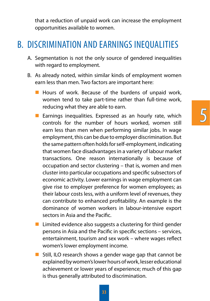5

that a reduction of unpaid work can increase the employment opportunities available to women.

#### B. Discrimination and Earnings Inequalities

- A. Segmentation is not the only source of gendered inequalities with regard to employment.
- B. As already noted, within similar kinds of employment women earn less than men. Two factors are important here:
	- Hours of work. Because of the burdens of unpaid work, women tend to take part-time rather than full-time work, reducing what they are able to earn.
	- **Earnings inequalities. Expressed as an hourly rate, which** controls for the number of hours worked, women still earn less than men when performing similar jobs. In wage employment, this can be due to employer discrimination. But the same pattern often holds for self-employment, indicating that women face disadvantages in a variety of labour market transactions. One reason internationally is because of occupation and sector clustering – that is, women and men cluster into particular occupations and specific subsectors of economic activity. Lower earnings in wage employment can give rise to employer preference for women employees; as their labour costs less, with a uniform level of revenues, they can contribute to enhanced profitability. An example is the dominance of women workers in labour-intensive export sectors in Asia and the Pacific.
	- $\blacksquare$  Limited evidence also suggests a clustering for third gender persons in Asia and the Pacific in specific sections – services, entertainment, tourism and sex work – where wages reflect women's lower employment income.
	- **Still, ILO research shows a gender wage gap that cannot be** explained by women's lower hours of work, lesser educational achievement or lower years of experience; much of this gap is thus generally attributed to discrimination.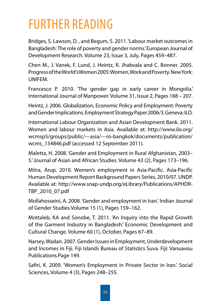## Further reading

Bridges, S. Lawson, D. , and Begum, S. 2011. 'Labour market outcomes in Bangladesh: The role of poverty and gender norms.' European Journal of Development Research. Volume 23, Issue 3, July, Pages 459–487.

Chen M., J. Vanek, F. Lund, J. Heintz, R. Jhabvala and C. Bonner. 2005. Progress of the World's Women 2005: Women, Work and Poverty. New York: UNIFEM.

Francesco P. 2010. 'The gender gap in early career in Mongolia.' International Journal of Manpower. Volume 31, Issue 2, Pages 188 – 207.

Heintz, J. 2006. Globalization, Economic Policy and Employment: Poverty and Gender Implications. Employment Strategy Paper 2006/3. Geneva: ILO.

International Labour Organization and Asian Development Bank. 2011. Women and labour markets in Asia. Available at: http://www.ilo.org/ wcmsp5/groups/public/---asia/---ro-bangkok/documents/publication/ wcms\_154846.pdf (accessed 12 September 2011).

Maletta, H. 2008. 'Gender and Employment in Rural Afghanistan, 2003– 5.'Journal of Asian and African Studies. Volume 43 (2), Pages 173–196.

Mitra, Arup. 2010. Women's employment in Asia-Pacific. Asia-Pacific Human Development Report Background Papers Series, 2010/07. UNDP. Available at: http://www.snap-undp.org/eLibrary/Publications/APHDR-TBP\_2010\_07.pdf

Mollahosseini, A. 2008. 'Gender and employment in Iran.' Indian Journal of Gender Studies.Volume 15 (1), Pages 159–162.

Mottaleb, KA and Sonobe, T. 2011. 'An Inquiry into the Rapid Growth of the Garment Industry in Bangladesh.' Economic Development and Cultural Change. Volume 60 (1), October, Pages 67–89.

Narsey, Wadan. 2007. Gender Issues in Employment, Underdevelopment and Incomes in Fiji. Fiji Islands Bureau of Statistics Suva. Fiji: Vanuavou Publications.Page 149.

Safiri, K. 2009. 'Women's Employment in Private Sector in Iran.' Social Sciences, Volume 4 (3), Pages 248–255.